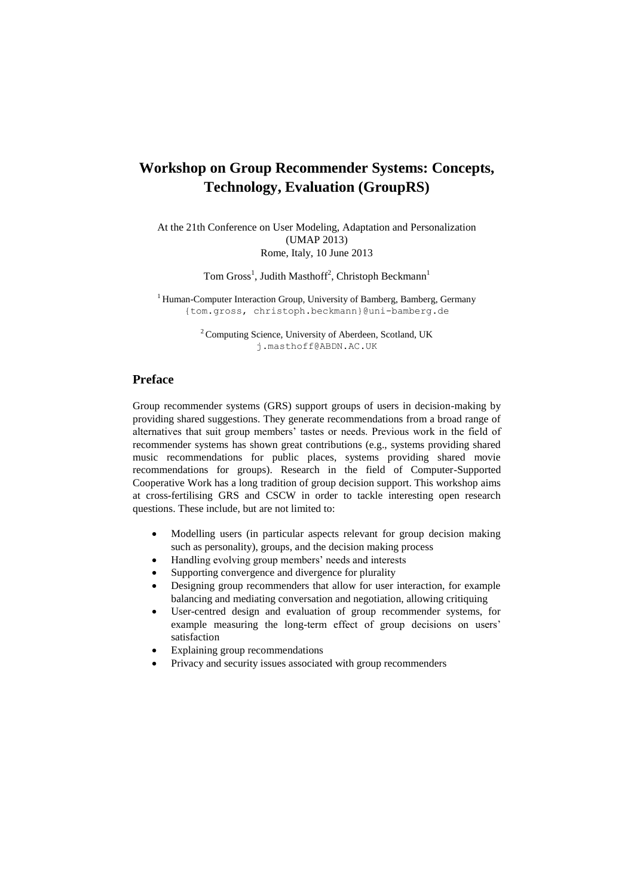## **Workshop on Group Recommender Systems: Concepts, Technology, Evaluation (GroupRS)**

At the 21th Conference on User Modeling, Adaptation and Personalization (UMAP 2013) Rome, Italy, 10 June 2013

Tom Gross<sup>1</sup>, Judith Masthoff<sup>2</sup>, Christoph Beckmann<sup>1</sup>

 $1$  Human-Computer Interaction Group, University of Bamberg, Bamberg, Germany {tom.gross, christoph.beckmann}@uni-bamberg.de

> <sup>2</sup> Computing Science, University of Aberdeen, Scotland, UK j.masthoff@ABDN.AC.UK

## **Preface**

Group recommender systems (GRS) support groups of users in decision-making by providing shared suggestions. They generate recommendations from a broad range of alternatives that suit group members' tastes or needs. Previous work in the field of recommender systems has shown great contributions (e.g., systems providing shared music recommendations for public places, systems providing shared movie recommendations for groups). Research in the field of Computer-Supported Cooperative Work has a long tradition of group decision support. This workshop aims at cross-fertilising GRS and CSCW in order to tackle interesting open research questions. These include, but are not limited to:

- Modelling users (in particular aspects relevant for group decision making such as personality), groups, and the decision making process
- Handling evolving group members' needs and interests
- Supporting convergence and divergence for plurality
- Designing group recommenders that allow for user interaction, for example balancing and mediating conversation and negotiation, allowing critiquing
- User-centred design and evaluation of group recommender systems, for example measuring the long-term effect of group decisions on users' satisfaction
- Explaining group recommendations
- Privacy and security issues associated with group recommenders